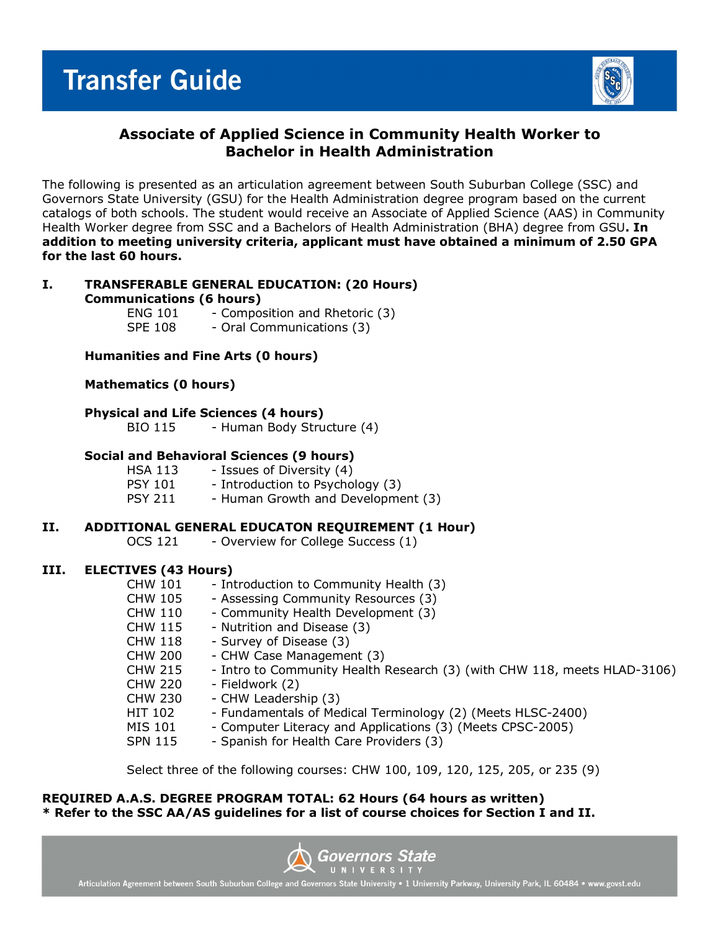

# **Associate of Applied Science in Community Health Worker to Bachelor in Health Administration**

The following is presented as an articulation agreement between South Suburban College (SSC) and Governors State University (GSU) for the Health Administration degree program based on the current catalogs of both schools. The student would receive an Associate of Applied Science (AAS) in Community Health Worker degree from SSC and a Bachelors of Health Administration (BHA) degree from GSU**. In addition to meeting university criteria, applicant must have obtained a minimum of 2.50 GPA for the last 60 hours.**

#### **I. TRANSFERABLE GENERAL EDUCATION: (20 Hours) Communications (6 hours)**

ENG 101 - Composition and Rhetoric (3) SPE 108 - Oral Communications (3)

### **Humanities and Fine Arts (0 hours)**

#### **Mathematics (0 hours)**

#### **Physical and Life Sciences (4 hours)**

BIO 115 - Human Body Structure (4)

#### **Social and Behavioral Sciences (9 hours)**

HSA 113 - Issues of Diversity (4)<br>PSY 101 - Introduction to Psycho PSY 101 - Introduction to Psychology (3)<br>PSY 211 - Human Growth and Developme - Human Growth and Development (3)

### **II. ADDITIONAL GENERAL EDUCATON REQUIREMENT (1 Hour)**

OCS 121 - Overview for College Success (1)

#### **III. ELECTIVES (43 Hours)**

| <b>CHW 101</b> | - Introduction to Community Health (3)                                   |
|----------------|--------------------------------------------------------------------------|
| CHW 105        | - Assessing Community Resources (3)                                      |
| <b>CHW 110</b> | - Community Health Development (3)                                       |
| <b>CHW 115</b> | - Nutrition and Disease (3)                                              |
| <b>CHW 118</b> | - Survey of Disease (3)                                                  |
| <b>CHW 200</b> | - CHW Case Management (3)                                                |
| <b>CHW 215</b> | - Intro to Community Health Research (3) (with CHW 118, meets HLAD-3106) |
| <b>CHW 220</b> | - Fieldwork (2)                                                          |
| <b>CHW 230</b> | - CHW Leadership (3)                                                     |
| HIT 102        | - Fundamentals of Medical Terminology (2) (Meets HLSC-2400)              |
| MIS 101        | - Computer Literacy and Applications (3) (Meets CPSC-2005)               |
| <b>SPN 115</b> | - Spanish for Health Care Providers (3)                                  |

Select three of the following courses: CHW 100, 109, 120, 125, 205, or 235 (9)

#### **REQUIRED A.A.S. DEGREE PROGRAM TOTAL: 62 Hours (64 hours as written) \* Refer to the SSC AA/AS guidelines for a list of course choices for Section I and II.**